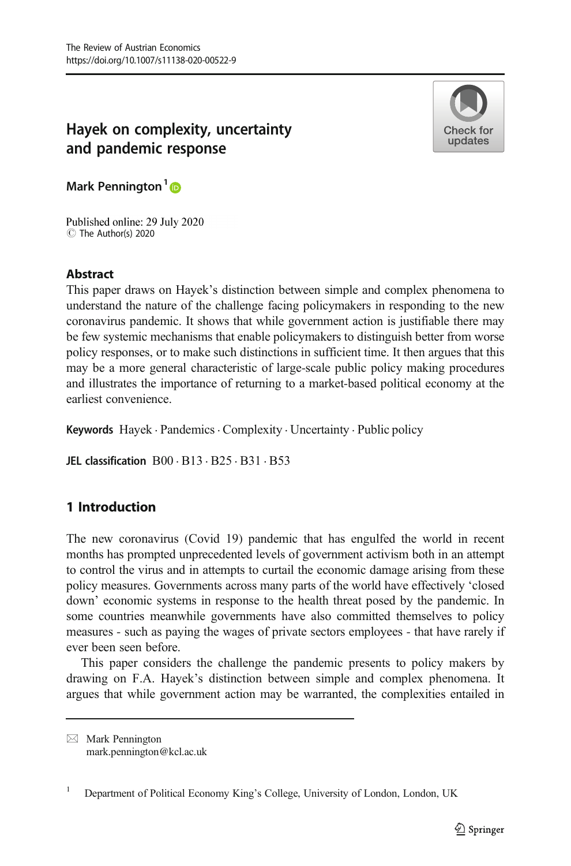# Hayek on complexity, uncertainty and pandemic response



Mark Pennington<sup>1</sup><sup>®</sup>

Published online: 29 July 2020 C The Author(s) 2020

# **Abstract**

This paper draws on Hayek's distinction between simple and complex phenomena to understand the nature of the challenge facing policymakers in responding to the new coronavirus pandemic. It shows that while government action is justifiable there may be few systemic mechanisms that enable policymakers to distinguish better from worse policy responses, or to make such distinctions in sufficient time. It then argues that this may be a more general characteristic of large-scale public policy making procedures and illustrates the importance of returning to a market-based political economy at the earliest convenience.

Keywords Hayek · Pandemics · Complexity · Uncertainty · Public policy

JEL classification  $B00 \cdot B13 \cdot B25 \cdot B31 \cdot B53$ 

# 1 Introduction

The new coronavirus (Covid 19) pandemic that has engulfed the world in recent months has prompted unprecedented levels of government activism both in an attempt to control the virus and in attempts to curtail the economic damage arising from these policy measures. Governments across many parts of the world have effectively 'closed down' economic systems in response to the health threat posed by the pandemic. In some countries meanwhile governments have also committed themselves to policy measures - such as paying the wages of private sectors employees - that have rarely if ever been seen before.

This paper considers the challenge the pandemic presents to policy makers by drawing on F.A. Hayek's distinction between simple and complex phenomena. It argues that while government action may be warranted, the complexities entailed in

 $\boxtimes$  Mark Pennington [mark.pennington@kcl.ac.uk](mailto:mark.pennington@kcl.ac.uk)

<sup>&</sup>lt;sup>1</sup> Department of Political Economy King's College, University of London, London, UK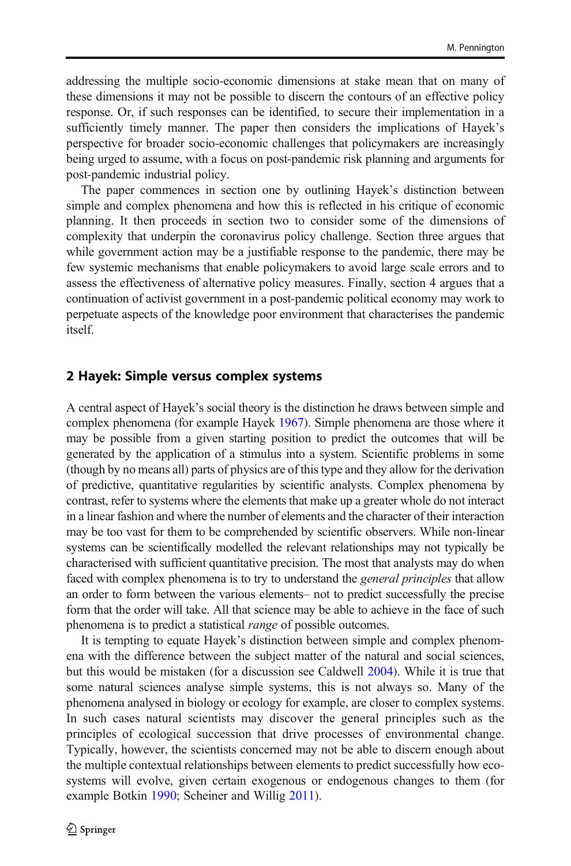addressing the multiple socio-economic dimensions at stake mean that on many of these dimensions it may not be possible to discern the contours of an effective policy response. Or, if such responses can be identified, to secure their implementation in a sufficiently timely manner. The paper then considers the implications of Hayek's perspective for broader socio-economic challenges that policymakers are increasingly being urged to assume, with a focus on post-pandemic risk planning and arguments for post-pandemic industrial policy.

The paper commences in section one by outlining Hayek's distinction between simple and complex phenomena and how this is reflected in his critique of economic planning. It then proceeds in section two to consider some of the dimensions of complexity that underpin the coronavirus policy challenge. Section three argues that while government action may be a justifiable response to the pandemic, there may be few systemic mechanisms that enable policymakers to avoid large scale errors and to assess the effectiveness of alternative policy measures. Finally, section 4 argues that a continuation of activist government in a post-pandemic political economy may work to perpetuate aspects of the knowledge poor environment that characterises the pandemic itself.

### 2 Hayek: Simple versus complex systems

A central aspect of Hayek's social theory is the distinction he draws between simple and complex phenomena (for example Hayek [1967\)](#page-17-0). Simple phenomena are those where it may be possible from a given starting position to predict the outcomes that will be generated by the application of a stimulus into a system. Scientific problems in some (though by no means all) parts of physics are of this type and they allow for the derivation of predictive, quantitative regularities by scientific analysts. Complex phenomena by contrast, refer to systems where the elements that make up a greater whole do not interact in a linear fashion and where the number of elements and the character of their interaction may be too vast for them to be comprehended by scientific observers. While non-linear systems can be scientifically modelled the relevant relationships may not typically be characterised with sufficient quantitative precision. The most that analysts may do when faced with complex phenomena is to try to understand the *general principles* that allow an order to form between the various elements– not to predict successfully the precise form that the order will take. All that science may be able to achieve in the face of such phenomena is to predict a statistical *range* of possible outcomes.

It is tempting to equate Hayek's distinction between simple and complex phenomena with the difference between the subject matter of the natural and social sciences, but this would be mistaken (for a discussion see Caldwell [2004\)](#page-16-0). While it is true that some natural sciences analyse simple systems, this is not always so. Many of the phenomena analysed in biology or ecology for example, are closer to complex systems. In such cases natural scientists may discover the general principles such as the principles of ecological succession that drive processes of environmental change. Typically, however, the scientists concerned may not be able to discern enough about the multiple contextual relationships between elements to predict successfully how ecosystems will evolve, given certain exogenous or endogenous changes to them (for example Botkin [1990;](#page-16-0) Scheiner and Willig [2011](#page-17-0)).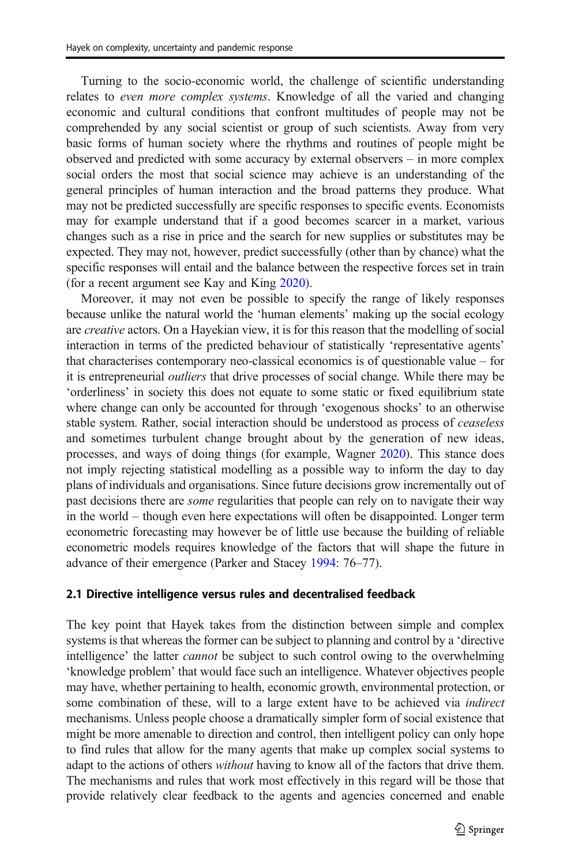Turning to the socio-economic world, the challenge of scientific understanding relates to *even more complex systems*. Knowledge of all the varied and changing economic and cultural conditions that confront multitudes of people may not be comprehended by any social scientist or group of such scientists. Away from very basic forms of human society where the rhythms and routines of people might be observed and predicted with some accuracy by external observers – in more complex social orders the most that social science may achieve is an understanding of the general principles of human interaction and the broad patterns they produce. What may not be predicted successfully are specific responses to specific events. Economists may for example understand that if a good becomes scarcer in a market, various changes such as a rise in price and the search for new supplies or substitutes may be expected. They may not, however, predict successfully (other than by chance) what the specific responses will entail and the balance between the respective forces set in train (for a recent argument see Kay and King [2020\)](#page-17-0).

Moreover, it may not even be possible to specify the range of likely responses because unlike the natural world the 'human elements' making up the social ecology are *creative* actors. On a Hayekian view, it is for this reason that the modelling of social interaction in terms of the predicted behaviour of statistically 'representative agents' that characterises contemporary neo-classical economics is of questionable value – for it is entrepreneurial *outliers* that drive processes of social change. While there may be 'orderliness' in society this does not equate to some static or fixed equilibrium state where change can only be accounted for through 'exogenous shocks' to an otherwise stable system. Rather, social interaction should be understood as process of *ceaseless* and sometimes turbulent change brought about by the generation of new ideas, processes, and ways of doing things (for example, Wagner [2020](#page-17-0)). This stance does not imply rejecting statistical modelling as a possible way to inform the day to day plans of individuals and organisations. Since future decisions grow incrementally out of past decisions there are *some* regularities that people can rely on to navigate their way in the world – though even here expectations will often be disappointed. Longer term econometric forecasting may however be of little use because the building of reliable econometric models requires knowledge of the factors that will shape the future in advance of their emergence (Parker and Stacey [1994:](#page-17-0) 76–77).

#### 2.1 Directive intelligence versus rules and decentralised feedback

The key point that Hayek takes from the distinction between simple and complex systems is that whereas the former can be subject to planning and control by a 'directive intelligence' the latter *cannot* be subject to such control owing to the overwhelming 'knowledge problem' that would face such an intelligence. Whatever objectives people may have, whether pertaining to health, economic growth, environmental protection, or some combination of these, will to a large extent have to be achieved via *indirect* mechanisms. Unless people choose a dramatically simpler form of social existence that might be more amenable to direction and control, then intelligent policy can only hope to find rules that allow for the many agents that make up complex social systems to adapt to the actions of others *without* having to know all of the factors that drive them. The mechanisms and rules that work most effectively in this regard will be those that provide relatively clear feedback to the agents and agencies concerned and enable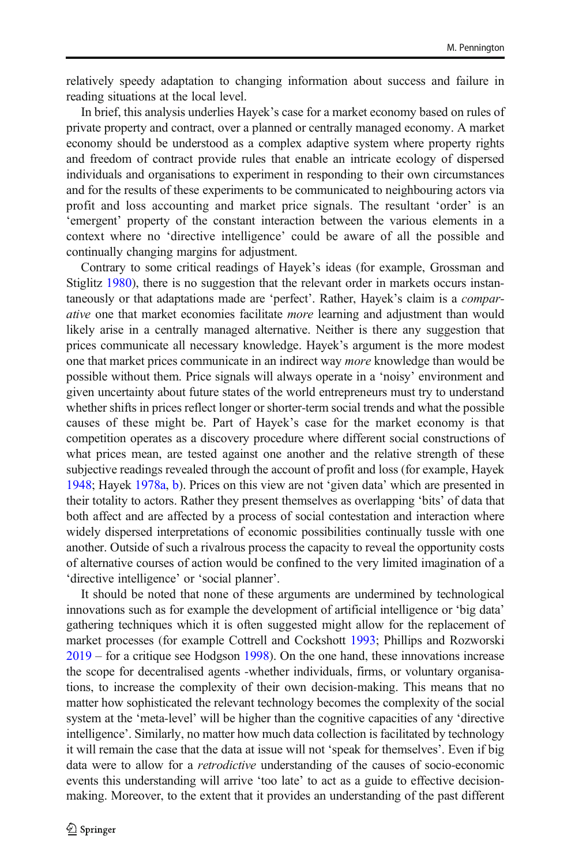relatively speedy adaptation to changing information about success and failure in reading situations at the local level.

In brief, this analysis underlies Hayek's case for a market economy based on rules of private property and contract, over a planned or centrally managed economy. A market economy should be understood as a complex adaptive system where property rights and freedom of contract provide rules that enable an intricate ecology of dispersed individuals and organisations to experiment in responding to their own circumstances and for the results of these experiments to be communicated to neighbouring actors via profit and loss accounting and market price signals. The resultant 'order' is an 'emergent' property of the constant interaction between the various elements in a context where no 'directive intelligence' could be aware of all the possible and continually changing margins for adjustment.

Contrary to some critical readings of Hayek's ideas (for example, Grossman and Stiglitz [1980](#page-17-0)), there is no suggestion that the relevant order in markets occurs instantaneously or that adaptations made are 'perfect'. Rather, Hayek's claim is a *comparative* one that market economies facilitate *more* learning and adjustment than would likely arise in a centrally managed alternative. Neither is there any suggestion that prices communicate all necessary knowledge. Hayek's argument is the more modest one that market prices communicate in an indirect way *more* knowledge than would be possible without them. Price signals will always operate in a 'noisy' environment and given uncertainty about future states of the world entrepreneurs must try to understand whether shifts in prices reflect longer or shorter-term social trends and what the possible causes of these might be. Part of Hayek's case for the market economy is that competition operates as a discovery procedure where different social constructions of what prices mean, are tested against one another and the relative strength of these subjective readings revealed through the account of profit and loss (for example, Hayek [1948;](#page-17-0) Hayek [1978a,](#page-17-0) [b\)](#page-17-0). Prices on this view are not 'given data' which are presented in their totality to actors. Rather they present themselves as overlapping 'bits' of data that both affect and are affected by a process of social contestation and interaction where widely dispersed interpretations of economic possibilities continually tussle with one another. Outside of such a rivalrous process the capacity to reveal the opportunity costs of alternative courses of action would be confined to the very limited imagination of a 'directive intelligence' or 'social planner'.

It should be noted that none of these arguments are undermined by technological innovations such as for example the development of artificial intelligence or 'big data' gathering techniques which it is often suggested might allow for the replacement of market processes (for example Cottrell and Cockshott [1993](#page-17-0); Phillips and Rozworski [2019](#page-17-0) – for a critique see Hodgson [1998](#page-17-0)). On the one hand, these innovations increase the scope for decentralised agents -whether individuals, firms, or voluntary organisations, to increase the complexity of their own decision-making. This means that no matter how sophisticated the relevant technology becomes the complexity of the social system at the 'meta-level' will be higher than the cognitive capacities of any 'directive intelligence'. Similarly, no matter how much data collection is facilitated by technology it will remain the case that the data at issue will not 'speak for themselves'. Even if big data were to allow for a *retrodictive* understanding of the causes of socio-economic events this understanding will arrive 'too late' to act as a guide to effective decisionmaking. Moreover, to the extent that it provides an understanding of the past different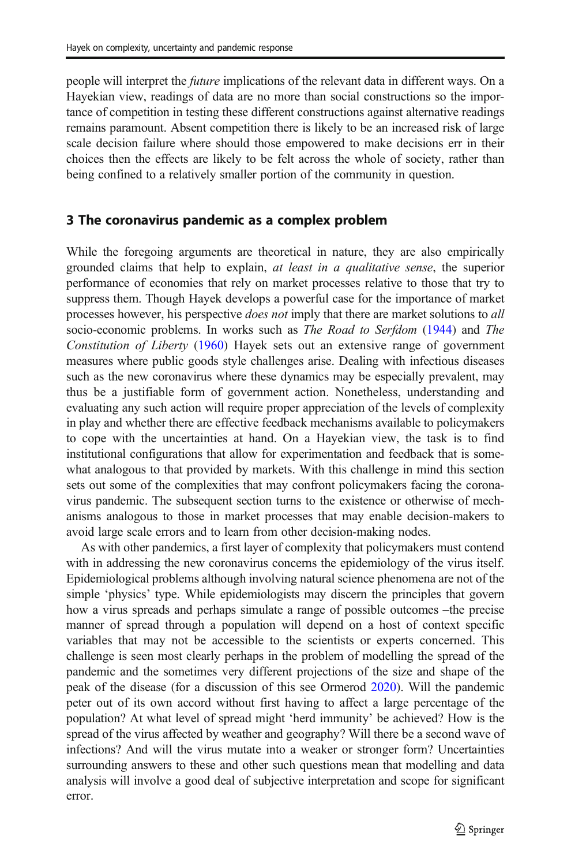people will interpret the *future* implications of the relevant data in different ways. On a Hayekian view, readings of data are no more than social constructions so the importance of competition in testing these different constructions against alternative readings remains paramount. Absent competition there is likely to be an increased risk of large scale decision failure where should those empowered to make decisions err in their choices then the effects are likely to be felt across the whole of society, rather than being confined to a relatively smaller portion of the community in question.

# 3 The coronavirus pandemic as a complex problem

While the foregoing arguments are theoretical in nature, they are also empirically grounded claims that help to explain, *at least in a qualitative sense*, the superior performance of economies that rely on market processes relative to those that try to suppress them. Though Hayek develops a powerful case for the importance of market processes however, his perspective *does not* imply that there are market solutions to *all* socio-economic problems. In works such as *The Road to Serfdom* [\(1944](#page-17-0)) and *The Constitution of Liberty* [\(1960](#page-17-0)) Hayek sets out an extensive range of government measures where public goods style challenges arise. Dealing with infectious diseases such as the new coronavirus where these dynamics may be especially prevalent, may thus be a justifiable form of government action. Nonetheless, understanding and evaluating any such action will require proper appreciation of the levels of complexity in play and whether there are effective feedback mechanisms available to policymakers to cope with the uncertainties at hand. On a Hayekian view, the task is to find institutional configurations that allow for experimentation and feedback that is somewhat analogous to that provided by markets. With this challenge in mind this section sets out some of the complexities that may confront policymakers facing the coronavirus pandemic. The subsequent section turns to the existence or otherwise of mechanisms analogous to those in market processes that may enable decision-makers to avoid large scale errors and to learn from other decision-making nodes.

As with other pandemics, a first layer of complexity that policymakers must contend with in addressing the new coronavirus concerns the epidemiology of the virus itself. Epidemiological problems although involving natural science phenomena are not of the simple 'physics' type. While epidemiologists may discern the principles that govern how a virus spreads and perhaps simulate a range of possible outcomes –the precise manner of spread through a population will depend on a host of context specific variables that may not be accessible to the scientists or experts concerned. This challenge is seen most clearly perhaps in the problem of modelling the spread of the pandemic and the sometimes very different projections of the size and shape of the peak of the disease (for a discussion of this see Ormerod [2020](#page-17-0)). Will the pandemic peter out of its own accord without first having to affect a large percentage of the population? At what level of spread might 'herd immunity' be achieved? How is the spread of the virus affected by weather and geography? Will there be a second wave of infections? And will the virus mutate into a weaker or stronger form? Uncertainties surrounding answers to these and other such questions mean that modelling and data analysis will involve a good deal of subjective interpretation and scope for significant error.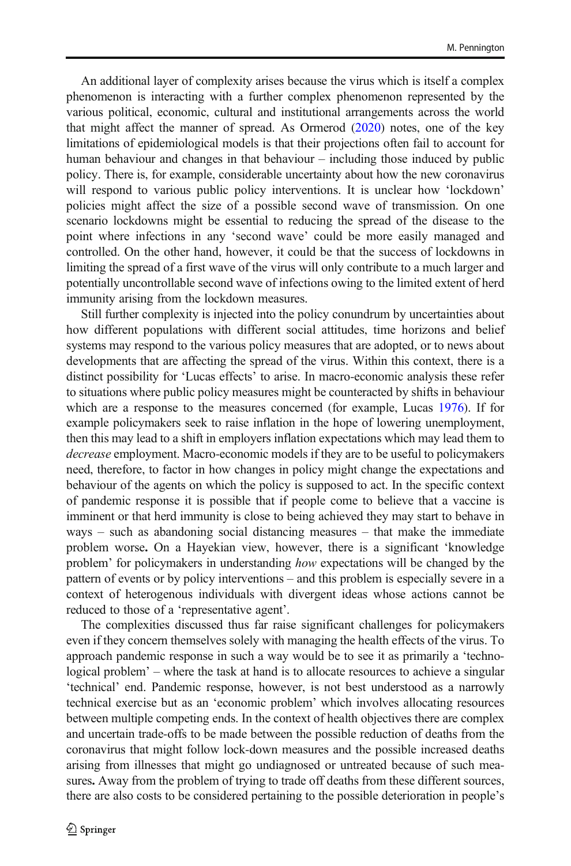An additional layer of complexity arises because the virus which is itself a complex phenomenon is interacting with a further complex phenomenon represented by the various political, economic, cultural and institutional arrangements across the world that might affect the manner of spread. As Ormerod [\(2020](#page-17-0)) notes, one of the key limitations of epidemiological models is that their projections often fail to account for human behaviour and changes in that behaviour – including those induced by public policy. There is, for example, considerable uncertainty about how the new coronavirus will respond to various public policy interventions. It is unclear how 'lockdown' policies might affect the size of a possible second wave of transmission. On one scenario lockdowns might be essential to reducing the spread of the disease to the point where infections in any 'second wave' could be more easily managed and controlled. On the other hand, however, it could be that the success of lockdowns in limiting the spread of a first wave of the virus will only contribute to a much larger and potentially uncontrollable second wave of infections owing to the limited extent of herd immunity arising from the lockdown measures.

Still further complexity is injected into the policy conundrum by uncertainties about how different populations with different social attitudes, time horizons and belief systems may respond to the various policy measures that are adopted, or to news about developments that are affecting the spread of the virus. Within this context, there is a distinct possibility for 'Lucas effects' to arise. In macro-economic analysis these refer to situations where public policy measures might be counteracted by shifts in behaviour which are a response to the measures concerned (for example, Lucas [1976](#page-17-0)). If for example policymakers seek to raise inflation in the hope of lowering unemployment, then this may lead to a shift in employers inflation expectations which may lead them to *decrease* employment. Macro-economic models if they are to be useful to policymakers need, therefore, to factor in how changes in policy might change the expectations and behaviour of the agents on which the policy is supposed to act. In the specific context of pandemic response it is possible that if people come to believe that a vaccine is imminent or that herd immunity is close to being achieved they may start to behave in ways – such as abandoning social distancing measures – that make the immediate problem worse. On a Hayekian view, however, there is a significant 'knowledge problem' for policymakers in understanding *how* expectations will be changed by the pattern of events or by policy interventions – and this problem is especially severe in a context of heterogenous individuals with divergent ideas whose actions cannot be reduced to those of a 'representative agent'.

The complexities discussed thus far raise significant challenges for policymakers even if they concern themselves solely with managing the health effects of the virus. To approach pandemic response in such a way would be to see it as primarily a 'technological problem' – where the task at hand is to allocate resources to achieve a singular 'technical' end. Pandemic response, however, is not best understood as a narrowly technical exercise but as an 'economic problem' which involves allocating resources between multiple competing ends. In the context of health objectives there are complex and uncertain trade-offs to be made between the possible reduction of deaths from the coronavirus that might follow lock-down measures and the possible increased deaths arising from illnesses that might go undiagnosed or untreated because of such measures. Away from the problem of trying to trade off deaths from these different sources, there are also costs to be considered pertaining to the possible deterioration in people's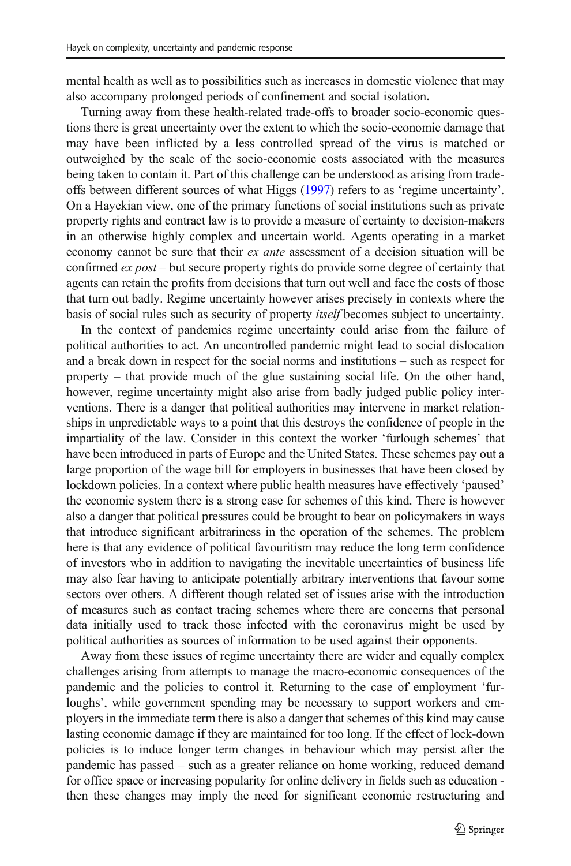mental health as well as to possibilities such as increases in domestic violence that may also accompany prolonged periods of confinement and social isolation.

Turning away from these health-related trade-offs to broader socio-economic questions there is great uncertainty over the extent to which the socio-economic damage that may have been inflicted by a less controlled spread of the virus is matched or outweighed by the scale of the socio-economic costs associated with the measures being taken to contain it. Part of this challenge can be understood as arising from tradeoffs between different sources of what Higgs [\(1997](#page-17-0)) refers to as 'regime uncertainty'. On a Hayekian view, one of the primary functions of social institutions such as private property rights and contract law is to provide a measure of certainty to decision-makers in an otherwise highly complex and uncertain world. Agents operating in a market economy cannot be sure that their *ex ante* assessment of a decision situation will be confirmed *ex post* – but secure property rights do provide some degree of certainty that agents can retain the profits from decisions that turn out well and face the costs of those that turn out badly. Regime uncertainty however arises precisely in contexts where the basis of social rules such as security of property *itself* becomes subject to uncertainty.

In the context of pandemics regime uncertainty could arise from the failure of political authorities to act. An uncontrolled pandemic might lead to social dislocation and a break down in respect for the social norms and institutions – such as respect for property – that provide much of the glue sustaining social life. On the other hand, however, regime uncertainty might also arise from badly judged public policy interventions. There is a danger that political authorities may intervene in market relationships in unpredictable ways to a point that this destroys the confidence of people in the impartiality of the law. Consider in this context the worker 'furlough schemes' that have been introduced in parts of Europe and the United States. These schemes pay out a large proportion of the wage bill for employers in businesses that have been closed by lockdown policies. In a context where public health measures have effectively 'paused' the economic system there is a strong case for schemes of this kind. There is however also a danger that political pressures could be brought to bear on policymakers in ways that introduce significant arbitrariness in the operation of the schemes. The problem here is that any evidence of political favouritism may reduce the long term confidence of investors who in addition to navigating the inevitable uncertainties of business life may also fear having to anticipate potentially arbitrary interventions that favour some sectors over others. A different though related set of issues arise with the introduction of measures such as contact tracing schemes where there are concerns that personal data initially used to track those infected with the coronavirus might be used by political authorities as sources of information to be used against their opponents.

Away from these issues of regime uncertainty there are wider and equally complex challenges arising from attempts to manage the macro-economic consequences of the pandemic and the policies to control it. Returning to the case of employment 'furloughs', while government spending may be necessary to support workers and employers in the immediate term there is also a danger that schemes of this kind may cause lasting economic damage if they are maintained for too long. If the effect of lock-down policies is to induce longer term changes in behaviour which may persist after the pandemic has passed – such as a greater reliance on home working, reduced demand for office space or increasing popularity for online delivery in fields such as education then these changes may imply the need for significant economic restructuring and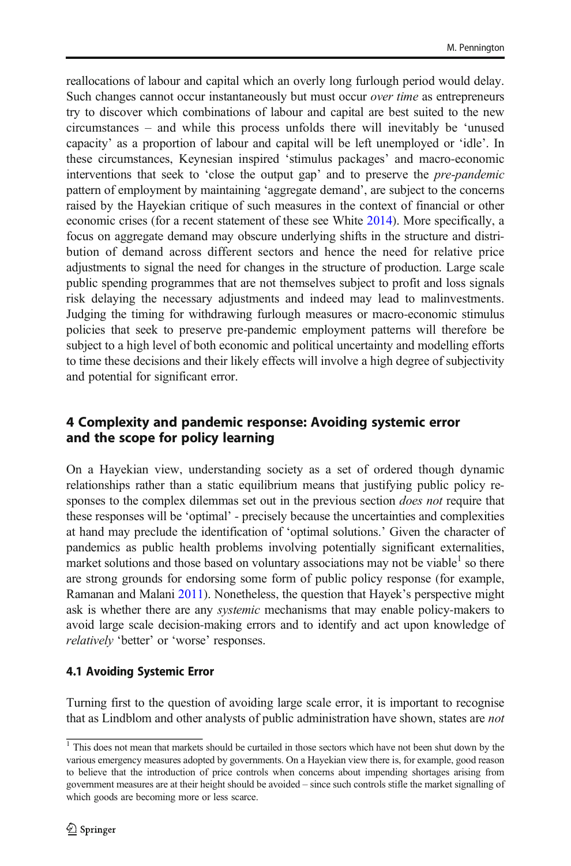reallocations of labour and capital which an overly long furlough period would delay. Such changes cannot occur instantaneously but must occur *over time* as entrepreneurs try to discover which combinations of labour and capital are best suited to the new circumstances – and while this process unfolds there will inevitably be 'unused capacity' as a proportion of labour and capital will be left unemployed or 'idle'. In these circumstances, Keynesian inspired 'stimulus packages' and macro-economic interventions that seek to 'close the output gap' and to preserve the *pre-pandemic* pattern of employment by maintaining 'aggregate demand', are subject to the concerns raised by the Hayekian critique of such measures in the context of financial or other economic crises (for a recent statement of these see White [2014](#page-17-0)). More specifically, a focus on aggregate demand may obscure underlying shifts in the structure and distribution of demand across different sectors and hence the need for relative price adjustments to signal the need for changes in the structure of production. Large scale public spending programmes that are not themselves subject to profit and loss signals risk delaying the necessary adjustments and indeed may lead to malinvestments. Judging the timing for withdrawing furlough measures or macro-economic stimulus policies that seek to preserve pre-pandemic employment patterns will therefore be subject to a high level of both economic and political uncertainty and modelling efforts to time these decisions and their likely effects will involve a high degree of subjectivity and potential for significant error.

# 4 Complexity and pandemic response: Avoiding systemic error and the scope for policy learning

On a Hayekian view, understanding society as a set of ordered though dynamic relationships rather than a static equilibrium means that justifying public policy responses to the complex dilemmas set out in the previous section *does not* require that these responses will be 'optimal' - precisely because the uncertainties and complexities at hand may preclude the identification of 'optimal solutions.' Given the character of pandemics as public health problems involving potentially significant externalities, market solutions and those based on voluntary associations may not be viable<sup>1</sup> so there are strong grounds for endorsing some form of public policy response (for example, Ramanan and Malani [2011\)](#page-17-0). Nonetheless, the question that Hayek's perspective might ask is whether there are any *systemic* mechanisms that may enable policy-makers to avoid large scale decision-making errors and to identify and act upon knowledge of *relatively* 'better' or 'worse' responses.

# 4.1 Avoiding Systemic Error

Turning first to the question of avoiding large scale error, it is important to recognise that as Lindblom and other analysts of public administration have shown, states are *not*

<sup>&</sup>lt;sup>1</sup> This does not mean that markets should be curtailed in those sectors which have not been shut down by the various emergency measures adopted by governments. On a Hayekian view there is, for example, good reason to believe that the introduction of price controls when concerns about impending shortages arising from government measures are at their height should be avoided – since such controls stifle the market signalling of which goods are becoming more or less scarce.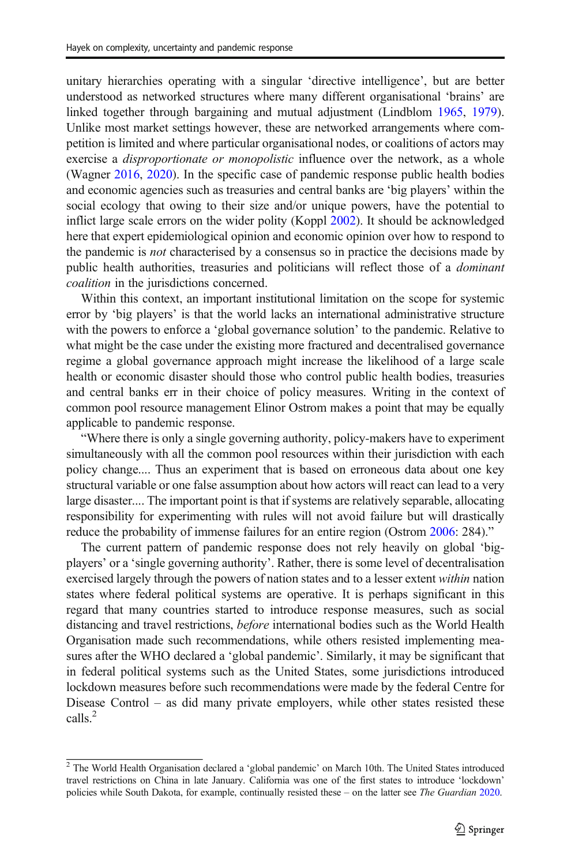unitary hierarchies operating with a singular 'directive intelligence', but are better understood as networked structures where many different organisational 'brains' are linked together through bargaining and mutual adjustment (Lindblom [1965](#page-17-0), [1979\)](#page-17-0). Unlike most market settings however, these are networked arrangements where competition is limited and where particular organisational nodes, or coalitions of actors may exercise a *disproportionate or monopolistic* influence over the network, as a whole (Wagner [2016,](#page-17-0) [2020\)](#page-17-0). In the specific case of pandemic response public health bodies and economic agencies such as treasuries and central banks are 'big players' within the social ecology that owing to their size and/or unique powers, have the potential to inflict large scale errors on the wider polity (Koppl [2002\)](#page-17-0). It should be acknowledged here that expert epidemiological opinion and economic opinion over how to respond to the pandemic is *not* characterised by a consensus so in practice the decisions made by public health authorities, treasuries and politicians will reflect those of a *dominant coalition* in the jurisdictions concerned.

Within this context, an important institutional limitation on the scope for systemic error by 'big players' is that the world lacks an international administrative structure with the powers to enforce a 'global governance solution' to the pandemic. Relative to what might be the case under the existing more fractured and decentralised governance regime a global governance approach might increase the likelihood of a large scale health or economic disaster should those who control public health bodies, treasuries and central banks err in their choice of policy measures. Writing in the context of common pool resource management Elinor Ostrom makes a point that may be equally applicable to pandemic response.

"Where there is only a single governing authority, policy-makers have to experiment simultaneously with all the common pool resources within their jurisdiction with each policy change.... Thus an experiment that is based on erroneous data about one key structural variable or one false assumption about how actors will react can lead to a very large disaster.... The important point is that if systems are relatively separable, allocating responsibility for experimenting with rules will not avoid failure but will drastically reduce the probability of immense failures for an entire region (Ostrom [2006](#page-17-0): 284)."

The current pattern of pandemic response does not rely heavily on global 'bigplayers' or a 'single governing authority'. Rather, there is some level of decentralisation exercised largely through the powers of nation states and to a lesser extent *within* nation states where federal political systems are operative. It is perhaps significant in this regard that many countries started to introduce response measures, such as social distancing and travel restrictions, *before* international bodies such as the World Health Organisation made such recommendations, while others resisted implementing measures after the WHO declared a 'global pandemic'. Similarly, it may be significant that in federal political systems such as the United States, some jurisdictions introduced lockdown measures before such recommendations were made by the federal Centre for Disease Control – as did many private employers, while other states resisted these calls.<sup>2</sup>

<sup>&</sup>lt;sup>2</sup> The World Health Organisation declared a 'global pandemic' on March 10th. The United States introduced travel restrictions on China in late January. California was one of the first states to introduce 'lockdown' policies while South Dakota, for example, continually resisted these – on the latter see *The Guardian* [2020.](#page-17-0)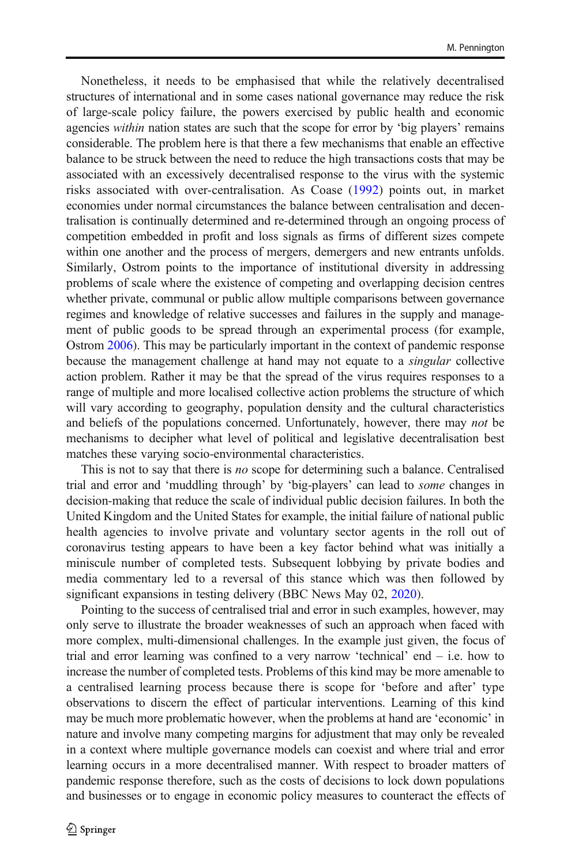Nonetheless, it needs to be emphasised that while the relatively decentralised structures of international and in some cases national governance may reduce the risk of large-scale policy failure, the powers exercised by public health and economic agencies *within* nation states are such that the scope for error by 'big players' remains considerable. The problem here is that there a few mechanisms that enable an effective balance to be struck between the need to reduce the high transactions costs that may be associated with an excessively decentralised response to the virus with the systemic risks associated with over-centralisation. As Coase ([1992\)](#page-16-0) points out, in market economies under normal circumstances the balance between centralisation and decentralisation is continually determined and re-determined through an ongoing process of competition embedded in profit and loss signals as firms of different sizes compete within one another and the process of mergers, demergers and new entrants unfolds. Similarly, Ostrom points to the importance of institutional diversity in addressing problems of scale where the existence of competing and overlapping decision centres whether private, communal or public allow multiple comparisons between governance regimes and knowledge of relative successes and failures in the supply and management of public goods to be spread through an experimental process (for example, Ostrom [2006](#page-17-0)). This may be particularly important in the context of pandemic response because the management challenge at hand may not equate to a *singular* collective action problem. Rather it may be that the spread of the virus requires responses to a range of multiple and more localised collective action problems the structure of which will vary according to geography, population density and the cultural characteristics and beliefs of the populations concerned. Unfortunately, however, there may *not* be mechanisms to decipher what level of political and legislative decentralisation best matches these varying socio-environmental characteristics.

This is not to say that there is *no* scope for determining such a balance. Centralised trial and error and 'muddling through' by 'big-players' can lead to *some* changes in decision-making that reduce the scale of individual public decision failures. In both the United Kingdom and the United States for example, the initial failure of national public health agencies to involve private and voluntary sector agents in the roll out of coronavirus testing appears to have been a key factor behind what was initially a miniscule number of completed tests. Subsequent lobbying by private bodies and media commentary led to a reversal of this stance which was then followed by significant expansions in testing delivery (BBC News May 02, [2020\)](#page-16-0).

Pointing to the success of centralised trial and error in such examples, however, may only serve to illustrate the broader weaknesses of such an approach when faced with more complex, multi-dimensional challenges. In the example just given, the focus of trial and error learning was confined to a very narrow 'technical' end – i.e. how to increase the number of completed tests. Problems of this kind may be more amenable to a centralised learning process because there is scope for 'before and after' type observations to discern the effect of particular interventions. Learning of this kind may be much more problematic however, when the problems at hand are 'economic' in nature and involve many competing margins for adjustment that may only be revealed in a context where multiple governance models can coexist and where trial and error learning occurs in a more decentralised manner. With respect to broader matters of pandemic response therefore, such as the costs of decisions to lock down populations and businesses or to engage in economic policy measures to counteract the effects of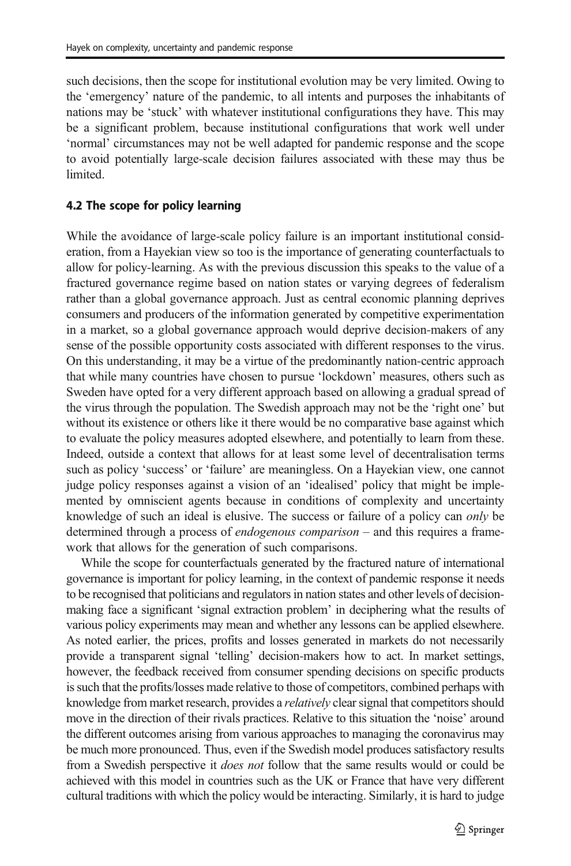such decisions, then the scope for institutional evolution may be very limited. Owing to the 'emergency' nature of the pandemic, to all intents and purposes the inhabitants of nations may be 'stuck' with whatever institutional configurations they have. This may be a significant problem, because institutional configurations that work well under 'normal' circumstances may not be well adapted for pandemic response and the scope to avoid potentially large-scale decision failures associated with these may thus be limited.

## 4.2 The scope for policy learning

While the avoidance of large-scale policy failure is an important institutional consideration, from a Hayekian view so too is the importance of generating counterfactuals to allow for policy-learning. As with the previous discussion this speaks to the value of a fractured governance regime based on nation states or varying degrees of federalism rather than a global governance approach. Just as central economic planning deprives consumers and producers of the information generated by competitive experimentation in a market, so a global governance approach would deprive decision-makers of any sense of the possible opportunity costs associated with different responses to the virus. On this understanding, it may be a virtue of the predominantly nation-centric approach that while many countries have chosen to pursue 'lockdown' measures, others such as Sweden have opted for a very different approach based on allowing a gradual spread of the virus through the population. The Swedish approach may not be the 'right one' but without its existence or others like it there would be no comparative base against which to evaluate the policy measures adopted elsewhere, and potentially to learn from these. Indeed, outside a context that allows for at least some level of decentralisation terms such as policy 'success' or 'failure' are meaningless. On a Hayekian view, one cannot judge policy responses against a vision of an 'idealised' policy that might be implemented by omniscient agents because in conditions of complexity and uncertainty knowledge of such an ideal is elusive. The success or failure of a policy can *only* be determined through a process of *endogenous comparison* – and this requires a framework that allows for the generation of such comparisons.

While the scope for counterfactuals generated by the fractured nature of international governance is important for policy learning, in the context of pandemic response it needs to be recognised that politicians and regulators in nation states and other levels of decisionmaking face a significant 'signal extraction problem' in deciphering what the results of various policy experiments may mean and whether any lessons can be applied elsewhere. As noted earlier, the prices, profits and losses generated in markets do not necessarily provide a transparent signal 'telling' decision-makers how to act. In market settings, however, the feedback received from consumer spending decisions on specific products is such that the profits/losses made relative to those of competitors, combined perhaps with knowledge from market research, provides a *relatively* clear signal that competitors should move in the direction of their rivals practices. Relative to this situation the 'noise' around the different outcomes arising from various approaches to managing the coronavirus may be much more pronounced. Thus, even if the Swedish model produces satisfactory results from a Swedish perspective it *does not* follow that the same results would or could be achieved with this model in countries such as the UK or France that have very different cultural traditions with which the policy would be interacting. Similarly, it is hard to judge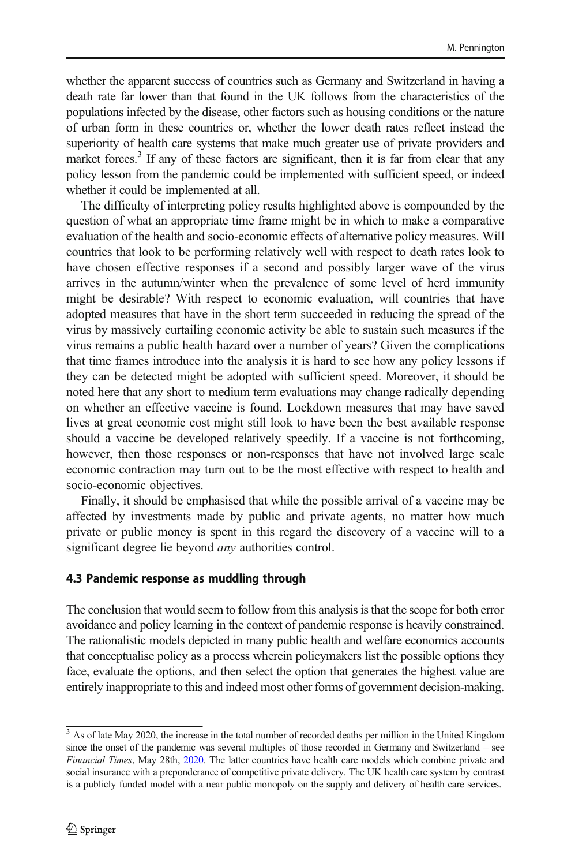whether the apparent success of countries such as Germany and Switzerland in having a death rate far lower than that found in the UK follows from the characteristics of the populations infected by the disease, other factors such as housing conditions or the nature of urban form in these countries or, whether the lower death rates reflect instead the superiority of health care systems that make much greater use of private providers and market forces.<sup>3</sup> If any of these factors are significant, then it is far from clear that any policy lesson from the pandemic could be implemented with sufficient speed, or indeed whether it could be implemented at all.

The difficulty of interpreting policy results highlighted above is compounded by the question of what an appropriate time frame might be in which to make a comparative evaluation of the health and socio-economic effects of alternative policy measures. Will countries that look to be performing relatively well with respect to death rates look to have chosen effective responses if a second and possibly larger wave of the virus arrives in the autumn/winter when the prevalence of some level of herd immunity might be desirable? With respect to economic evaluation, will countries that have adopted measures that have in the short term succeeded in reducing the spread of the virus by massively curtailing economic activity be able to sustain such measures if the virus remains a public health hazard over a number of years? Given the complications that time frames introduce into the analysis it is hard to see how any policy lessons if they can be detected might be adopted with sufficient speed. Moreover, it should be noted here that any short to medium term evaluations may change radically depending on whether an effective vaccine is found. Lockdown measures that may have saved lives at great economic cost might still look to have been the best available response should a vaccine be developed relatively speedily. If a vaccine is not forthcoming, however, then those responses or non-responses that have not involved large scale economic contraction may turn out to be the most effective with respect to health and socio-economic objectives.

Finally, it should be emphasised that while the possible arrival of a vaccine may be affected by investments made by public and private agents, no matter how much private or public money is spent in this regard the discovery of a vaccine will to a significant degree lie beyond *any* authorities control.

#### 4.3 Pandemic response as muddling through

The conclusion that would seem to follow from this analysis is that the scope for both error avoidance and policy learning in the context of pandemic response is heavily constrained. The rationalistic models depicted in many public health and welfare economics accounts that conceptualise policy as a process wherein policymakers list the possible options they face, evaluate the options, and then select the option that generates the highest value are entirely inappropriate to this and indeed most other forms of government decision-making.

<sup>&</sup>lt;sup>3</sup> As of late May 2020, the increase in the total number of recorded deaths per million in the United Kingdom since the onset of the pandemic was several multiples of those recorded in Germany and Switzerland – see *Financial Times*, May 28th, [2020.](#page-17-0) The latter countries have health care models which combine private and social insurance with a preponderance of competitive private delivery. The UK health care system by contrast is a publicly funded model with a near public monopoly on the supply and delivery of health care services.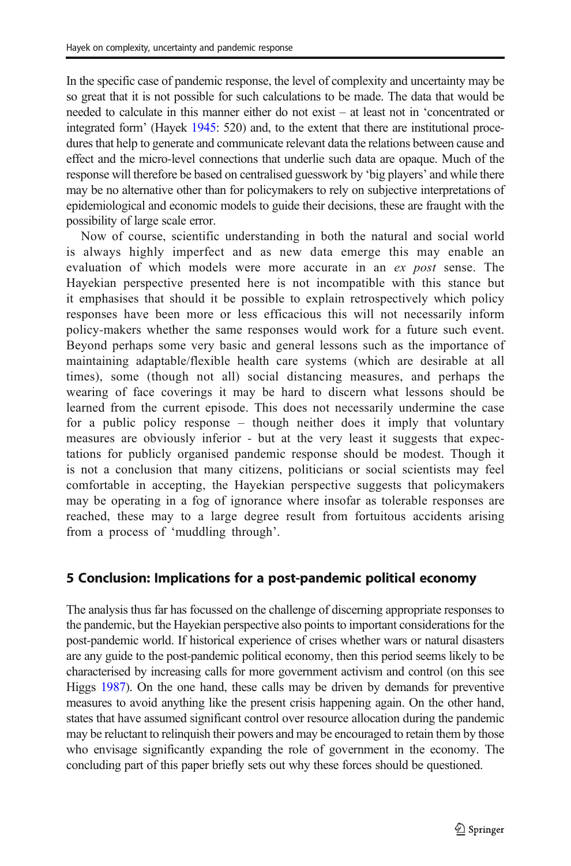In the specific case of pandemic response, the level of complexity and uncertainty may be so great that it is not possible for such calculations to be made. The data that would be needed to calculate in this manner either do not exist – at least not in 'concentrated or integrated form' (Hayek [1945](#page-17-0): 520) and, to the extent that there are institutional procedures that help to generate and communicate relevant data the relations between cause and effect and the micro-level connections that underlie such data are opaque. Much of the response will therefore be based on centralised guesswork by 'big players' and while there may be no alternative other than for policymakers to rely on subjective interpretations of epidemiological and economic models to guide their decisions, these are fraught with the possibility of large scale error.

Now of course, scientific understanding in both the natural and social world is always highly imperfect and as new data emerge this may enable an evaluation of which models were more accurate in an *ex post* sense. The Hayekian perspective presented here is not incompatible with this stance but it emphasises that should it be possible to explain retrospectively which policy responses have been more or less efficacious this will not necessarily inform policy-makers whether the same responses would work for a future such event. Beyond perhaps some very basic and general lessons such as the importance of maintaining adaptable/flexible health care systems (which are desirable at all times), some (though not all) social distancing measures, and perhaps the wearing of face coverings it may be hard to discern what lessons should be learned from the current episode. This does not necessarily undermine the case for a public policy response – though neither does it imply that voluntary measures are obviously inferior - but at the very least it suggests that expectations for publicly organised pandemic response should be modest. Though it is not a conclusion that many citizens, politicians or social scientists may feel comfortable in accepting, the Hayekian perspective suggests that policymakers may be operating in a fog of ignorance where insofar as tolerable responses are reached, these may to a large degree result from fortuitous accidents arising from a process of 'muddling through'.

# 5 Conclusion: Implications for a post-pandemic political economy

The analysis thus far has focussed on the challenge of discerning appropriate responses to the pandemic, but the Hayekian perspective also points to important considerations for the post-pandemic world. If historical experience of crises whether wars or natural disasters are any guide to the post-pandemic political economy, then this period seems likely to be characterised by increasing calls for more government activism and control (on this see Higgs [1987\)](#page-17-0). On the one hand, these calls may be driven by demands for preventive measures to avoid anything like the present crisis happening again. On the other hand, states that have assumed significant control over resource allocation during the pandemic may be reluctant to relinquish their powers and may be encouraged to retain them by those who envisage significantly expanding the role of government in the economy. The concluding part of this paper briefly sets out why these forces should be questioned.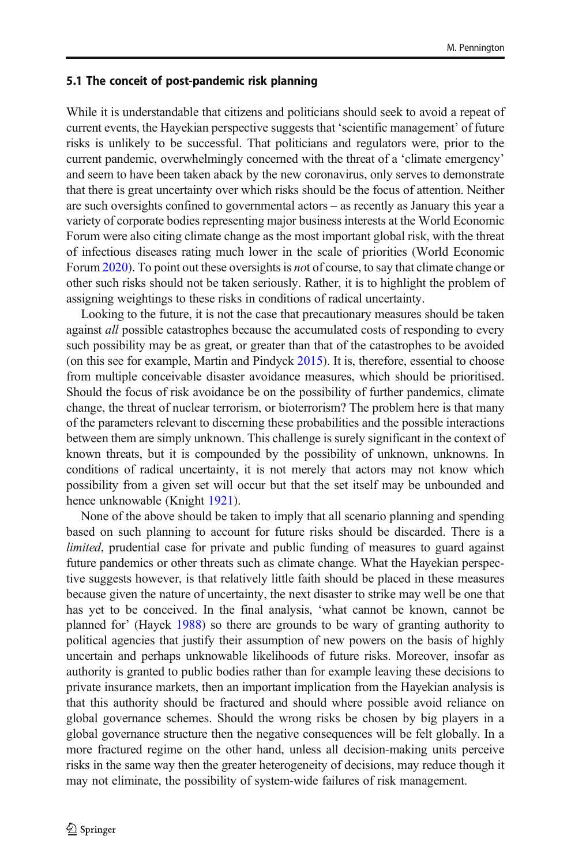#### 5.1 The conceit of post-pandemic risk planning

While it is understandable that citizens and politicians should seek to avoid a repeat of current events, the Hayekian perspective suggests that 'scientific management' of future risks is unlikely to be successful. That politicians and regulators were, prior to the current pandemic, overwhelmingly concerned with the threat of a 'climate emergency' and seem to have been taken aback by the new coronavirus, only serves to demonstrate that there is great uncertainty over which risks should be the focus of attention. Neither are such oversights confined to governmental actors – as recently as January this year a variety of corporate bodies representing major business interests at the World Economic Forum were also citing climate change as the most important global risk, with the threat of infectious diseases rating much lower in the scale of priorities (World Economic Forum [2020](#page-17-0)). To point out these oversights is *no*t of course, to say that climate change or other such risks should not be taken seriously. Rather, it is to highlight the problem of assigning weightings to these risks in conditions of radical uncertainty.

Looking to the future, it is not the case that precautionary measures should be taken against *all* possible catastrophes because the accumulated costs of responding to every such possibility may be as great, or greater than that of the catastrophes to be avoided (on this see for example, Martin and Pindyck [2015](#page-17-0)). It is, therefore, essential to choose from multiple conceivable disaster avoidance measures, which should be prioritised. Should the focus of risk avoidance be on the possibility of further pandemics, climate change, the threat of nuclear terrorism, or bioterrorism? The problem here is that many of the parameters relevant to discerning these probabilities and the possible interactions between them are simply unknown. This challenge is surely significant in the context of known threats, but it is compounded by the possibility of unknown, unknowns. In conditions of radical uncertainty, it is not merely that actors may not know which possibility from a given set will occur but that the set itself may be unbounded and hence unknowable (Knight [1921\)](#page-17-0).

None of the above should be taken to imply that all scenario planning and spending based on such planning to account for future risks should be discarded. There is a *limited*, prudential case for private and public funding of measures to guard against future pandemics or other threats such as climate change. What the Hayekian perspective suggests however, is that relatively little faith should be placed in these measures because given the nature of uncertainty, the next disaster to strike may well be one that has yet to be conceived. In the final analysis, 'what cannot be known, cannot be planned for' (Hayek [1988](#page-17-0)) so there are grounds to be wary of granting authority to political agencies that justify their assumption of new powers on the basis of highly uncertain and perhaps unknowable likelihoods of future risks. Moreover, insofar as authority is granted to public bodies rather than for example leaving these decisions to private insurance markets, then an important implication from the Hayekian analysis is that this authority should be fractured and should where possible avoid reliance on global governance schemes. Should the wrong risks be chosen by big players in a global governance structure then the negative consequences will be felt globally. In a more fractured regime on the other hand, unless all decision-making units perceive risks in the same way then the greater heterogeneity of decisions, may reduce though it may not eliminate, the possibility of system-wide failures of risk management.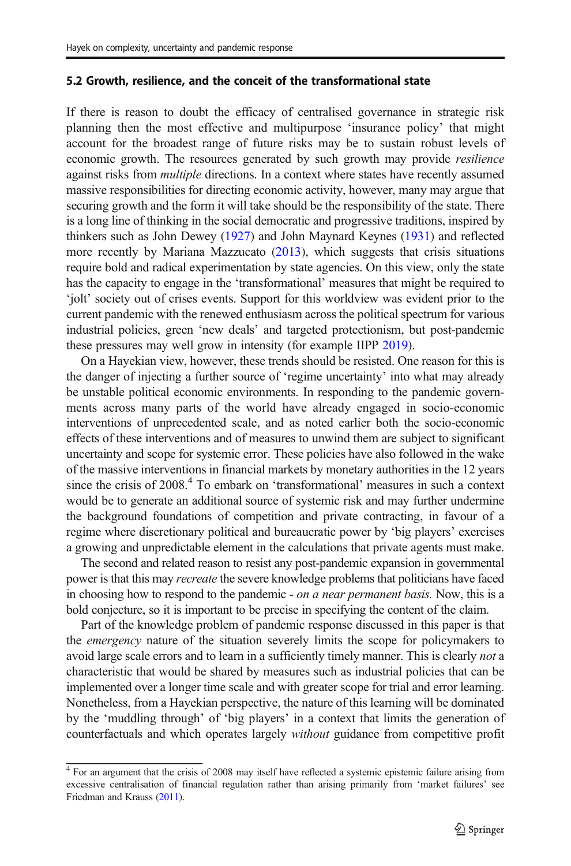#### 5.2 Growth, resilience, and the conceit of the transformational state

If there is reason to doubt the efficacy of centralised governance in strategic risk planning then the most effective and multipurpose 'insurance policy' that might account for the broadest range of future risks may be to sustain robust levels of economic growth. The resources generated by such growth may provide *resilience* against risks from *multiple* directions. In a context where states have recently assumed massive responsibilities for directing economic activity, however, many may argue that securing growth and the form it will take should be the responsibility of the state. There is a long line of thinking in the social democratic and progressive traditions, inspired by thinkers such as John Dewey [\(1927\)](#page-17-0) and John Maynard Keynes ([1931](#page-17-0)) and reflected more recently by Mariana Mazzucato [\(2013\)](#page-17-0), which suggests that crisis situations require bold and radical experimentation by state agencies. On this view, only the state has the capacity to engage in the 'transformational' measures that might be required to 'jolt' society out of crises events. Support for this worldview was evident prior to the current pandemic with the renewed enthusiasm across the political spectrum for various industrial policies, green 'new deals' and targeted protectionism, but post-pandemic these pressures may well grow in intensity (for example IIPP [2019](#page-17-0)).

On a Hayekian view, however, these trends should be resisted. One reason for this is the danger of injecting a further source of 'regime uncertainty' into what may already be unstable political economic environments. In responding to the pandemic governments across many parts of the world have already engaged in socio-economic interventions of unprecedented scale, and as noted earlier both the socio-economic effects of these interventions and of measures to unwind them are subject to significant uncertainty and scope for systemic error. These policies have also followed in the wake of the massive interventions in financial markets by monetary authorities in the 12 years since the crisis of 2008.<sup>4</sup> To embark on 'transformational' measures in such a context would be to generate an additional source of systemic risk and may further undermine the background foundations of competition and private contracting, in favour of a regime where discretionary political and bureaucratic power by 'big players' exercises a growing and unpredictable element in the calculations that private agents must make.

The second and related reason to resist any post-pandemic expansion in governmental power is that this may *recreate* the severe knowledge problems that politicians have faced in choosing how to respond to the pandemic *- on a near permanent basis.* Now, this is a bold conjecture, so it is important to be precise in specifying the content of the claim.

Part of the knowledge problem of pandemic response discussed in this paper is that the *emergency* nature of the situation severely limits the scope for policymakers to avoid large scale errors and to learn in a sufficiently timely manner. This is clearly *not* a characteristic that would be shared by measures such as industrial policies that can be implemented over a longer time scale and with greater scope for trial and error learning. Nonetheless, from a Hayekian perspective, the nature of this learning will be dominated by the 'muddling through' of 'big players' in a context that limits the generation of counterfactuals and which operates largely *without* guidance from competitive profit

<sup>&</sup>lt;sup>4</sup> For an argument that the crisis of 2008 may itself have reflected a systemic epistemic failure arising from excessive centralisation of financial regulation rather than arising primarily from 'market failures' see Friedman and Krauss [\(2011\)](#page-17-0).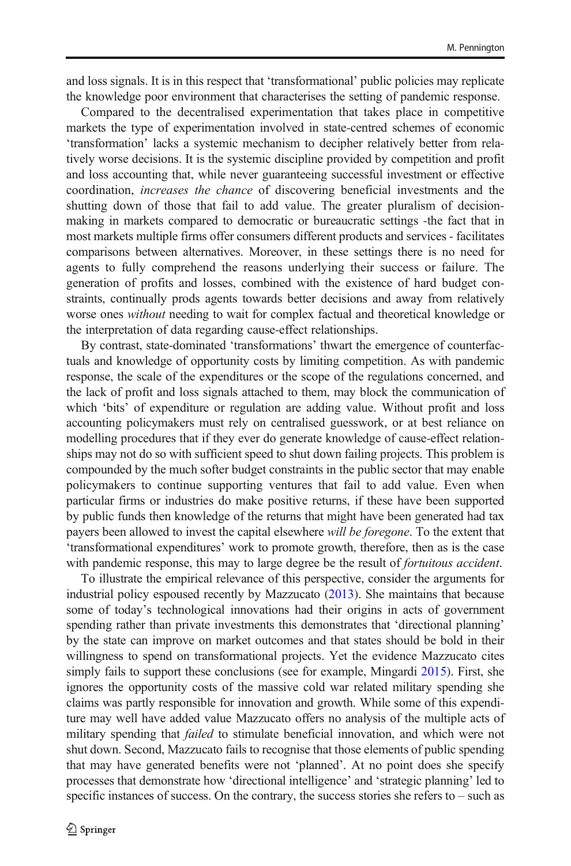and loss signals. It is in this respect that 'transformational' public policies may replicate the knowledge poor environment that characterises the setting of pandemic response.

Compared to the decentralised experimentation that takes place in competitive markets the type of experimentation involved in state-centred schemes of economic 'transformation' lacks a systemic mechanism to decipher relatively better from relatively worse decisions. It is the systemic discipline provided by competition and profit and loss accounting that, while never guaranteeing successful investment or effective coordination, *increases the chance* of discovering beneficial investments and the shutting down of those that fail to add value. The greater pluralism of decisionmaking in markets compared to democratic or bureaucratic settings -the fact that in most markets multiple firms offer consumers different products and services - facilitates comparisons between alternatives. Moreover, in these settings there is no need for agents to fully comprehend the reasons underlying their success or failure. The generation of profits and losses, combined with the existence of hard budget constraints, continually prods agents towards better decisions and away from relatively worse ones *without* needing to wait for complex factual and theoretical knowledge or the interpretation of data regarding cause-effect relationships.

By contrast, state-dominated 'transformations' thwart the emergence of counterfactuals and knowledge of opportunity costs by limiting competition. As with pandemic response, the scale of the expenditures or the scope of the regulations concerned, and the lack of profit and loss signals attached to them, may block the communication of which 'bits' of expenditure or regulation are adding value. Without profit and loss accounting policymakers must rely on centralised guesswork, or at best reliance on modelling procedures that if they ever do generate knowledge of cause-effect relationships may not do so with sufficient speed to shut down failing projects. This problem is compounded by the much softer budget constraints in the public sector that may enable policymakers to continue supporting ventures that fail to add value. Even when particular firms or industries do make positive returns, if these have been supported by public funds then knowledge of the returns that might have been generated had tax payers been allowed to invest the capital elsewhere *will be foregone*. To the extent that 'transformational expenditures' work to promote growth, therefore, then as is the case with pandemic response, this may to large degree be the result of *fortuitous accident*.

To illustrate the empirical relevance of this perspective, consider the arguments for industrial policy espoused recently by Mazzucato [\(2013\)](#page-17-0). She maintains that because some of today's technological innovations had their origins in acts of government spending rather than private investments this demonstrates that 'directional planning' by the state can improve on market outcomes and that states should be bold in their willingness to spend on transformational projects. Yet the evidence Mazzucato cites simply fails to support these conclusions (see for example, Mingardi [2015\)](#page-17-0). First, she ignores the opportunity costs of the massive cold war related military spending she claims was partly responsible for innovation and growth. While some of this expenditure may well have added value Mazzucato offers no analysis of the multiple acts of military spending that *failed* to stimulate beneficial innovation, and which were not shut down. Second, Mazzucato fails to recognise that those elements of public spending that may have generated benefits were not 'planned'. At no point does she specify processes that demonstrate how 'directional intelligence' and 'strategic planning' led to specific instances of success. On the contrary, the success stories she refers to – such as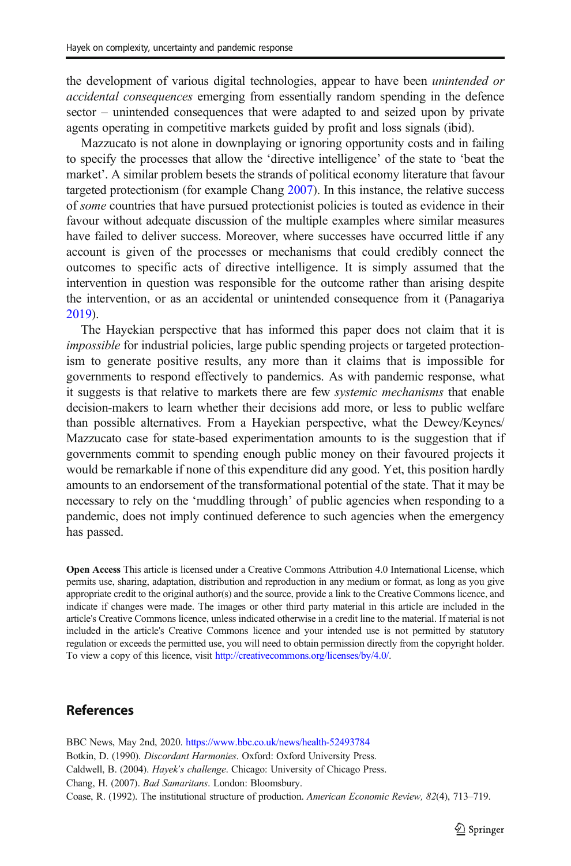<span id="page-16-0"></span>the development of various digital technologies, appear to have been *unintended or accidental consequences* emerging from essentially random spending in the defence sector – unintended consequences that were adapted to and seized upon by private agents operating in competitive markets guided by profit and loss signals (ibid).

Mazzucato is not alone in downplaying or ignoring opportunity costs and in failing to specify the processes that allow the 'directive intelligence' of the state to 'beat the market'. A similar problem besets the strands of political economy literature that favour targeted protectionism (for example Chang 2007). In this instance, the relative success of *some* countries that have pursued protectionist policies is touted as evidence in their favour without adequate discussion of the multiple examples where similar measures have failed to deliver success. Moreover, where successes have occurred little if any account is given of the processes or mechanisms that could credibly connect the outcomes to specific acts of directive intelligence. It is simply assumed that the intervention in question was responsible for the outcome rather than arising despite the intervention, or as an accidental or unintended consequence from it (Panagariya [2019\)](#page-17-0).

The Hayekian perspective that has informed this paper does not claim that it is *impossible* for industrial policies, large public spending projects or targeted protectionism to generate positive results, any more than it claims that is impossible for governments to respond effectively to pandemics. As with pandemic response, what it suggests is that relative to markets there are few *systemic mechanisms* that enable decision-makers to learn whether their decisions add more, or less to public welfare than possible alternatives. From a Hayekian perspective, what the Dewey/Keynes/ Mazzucato case for state-based experimentation amounts to is the suggestion that if governments commit to spending enough public money on their favoured projects it would be remarkable if none of this expenditure did any good. Yet, this position hardly amounts to an endorsement of the transformational potential of the state. That it may be necessary to rely on the 'muddling through' of public agencies when responding to a pandemic, does not imply continued deference to such agencies when the emergency has passed.

Open Access This article is licensed under a Creative Commons Attribution 4.0 International License, which permits use, sharing, adaptation, distribution and reproduction in any medium or format, as long as you give appropriate credit to the original author(s) and the source, provide a link to the Creative Commons licence, and indicate if changes were made. The images or other third party material in this article are included in the article's Creative Commons licence, unless indicated otherwise in a credit line to the material. If material is not included in the article's Creative Commons licence and your intended use is not permitted by statutory regulation or exceeds the permitted use, you will need to obtain permission directly from the copyright holder. To view a copy of this licence, visit <http://creativecommons.org/licenses/by/4.0/>.

### References

BBC News, May 2nd, 2020. <https://www.bbc.co.uk/news/health-52493784> Botkin, D. (1990). *Discordant Harmonies*. Oxford: Oxford University Press. Caldwell, B. (2004). *Hayek*'*s challenge*. Chicago: University of Chicago Press. Chang, H. (2007). *Bad Samaritans*. London: Bloomsbury. Coase, R. (1992). The institutional structure of production. *American Economic Review, 82*(4), 713–719.